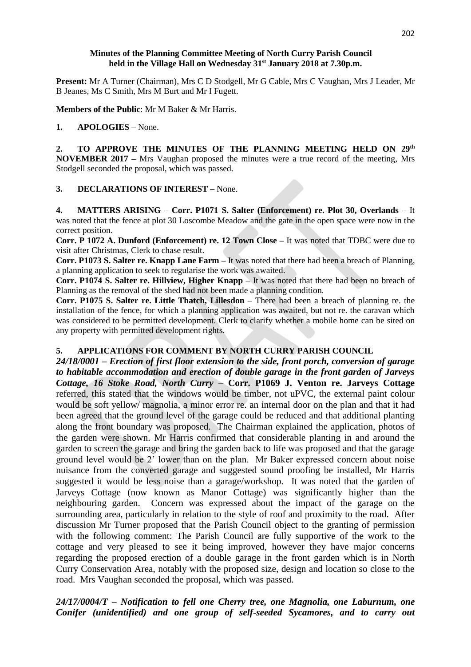## **Minutes of the Planning Committee Meeting of North Curry Parish Council held in the Village Hall on Wednesday 31st January 2018 at 7.30p.m.**

**Present:** Mr A Turner (Chairman), Mrs C D Stodgell, Mr G Cable, Mrs C Vaughan, Mrs J Leader, Mr B Jeanes, Ms C Smith, Mrs M Burt and Mr I Fugett.

**Members of the Public**: Mr M Baker & Mr Harris.

# **1. APOLOGIES** – None.

2. TO APPROVE THE MINUTES OF THE PLANNING MEETING HELD ON 29<sup>th</sup> **NOVEMBER 2017 –** Mrs Vaughan proposed the minutes were a true record of the meeting, Mrs Stodgell seconded the proposal, which was passed.

#### **3. DECLARATIONS OF INTEREST –** None.

**4. MATTERS ARISING** – **Corr. P1071 S. Salter (Enforcement) re. Plot 30, Overlands** – It was noted that the fence at plot 30 Loscombe Meadow and the gate in the open space were now in the correct position.

**Corr. P 1072 A. Dunford (Enforcement) re. 12 Town Close –** It was noted that TDBC were due to visit after Christmas, Clerk to chase result.

**Corr. P1073 S. Salter re. Knapp Lane Farm –** It was noted that there had been a breach of Planning, a planning application to seek to regularise the work was awaited.

**Corr. P1074 S. Salter re. Hillview, Higher Knapp** – It was noted that there had been no breach of Planning as the removal of the shed had not been made a planning condition.

**Corr. P1075 S. Salter re. Little Thatch, Lillesdon** – There had been a breach of planning re. the installation of the fence, for which a planning application was awaited, but not re. the caravan which was considered to be permitted development. Clerk to clarify whether a mobile home can be sited on any property with permitted development rights.

## **5. APPLICATIONS FOR COMMENT BY NORTH CURRY PARISH COUNCIL**

*24/18/0001 – Erection of first floor extension to the side, front porch, conversion of garage to habitable accommodation and erection of double garage in the front garden of Jarveys Cottage, 16 Stoke Road, North Curry –* **Corr. P1069 J. Venton re. Jarveys Cottage** referred, this stated that the windows would be timber, not uPVC, the external paint colour would be soft yellow/ magnolia, a minor error re. an internal door on the plan and that it had been agreed that the ground level of the garage could be reduced and that additional planting along the front boundary was proposed. The Chairman explained the application, photos of the garden were shown. Mr Harris confirmed that considerable planting in and around the garden to screen the garage and bring the garden back to life was proposed and that the garage ground level would be 2' lower than on the plan. Mr Baker expressed concern about noise nuisance from the converted garage and suggested sound proofing be installed, Mr Harris suggested it would be less noise than a garage/workshop. It was noted that the garden of Jarveys Cottage (now known as Manor Cottage) was significantly higher than the neighbouring garden. Concern was expressed about the impact of the garage on the surrounding area, particularly in relation to the style of roof and proximity to the road. After discussion Mr Turner proposed that the Parish Council object to the granting of permission with the following comment: The Parish Council are fully supportive of the work to the cottage and very pleased to see it being improved, however they have major concerns regarding the proposed erection of a double garage in the front garden which is in North Curry Conservation Area, notably with the proposed size, design and location so close to the road. Mrs Vaughan seconded the proposal, which was passed.

*24/17/0004/T – Notification to fell one Cherry tree, one Magnolia, one Laburnum, one Conifer (unidentified) and one group of self-seeded Sycamores, and to carry out*